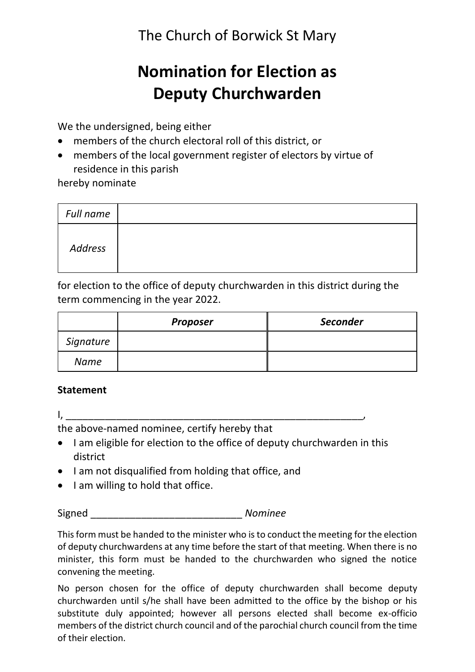The Church of Borwick St Mary

# **Nomination for Election as Deputy Churchwarden**

We the undersigned, being either

- members of the church electoral roll of this district, or
- members of the local government register of electors by virtue of residence in this parish

hereby nominate

| Full name |  |  |  |
|-----------|--|--|--|
| Address   |  |  |  |

for election to the office of deputy churchwarden in this district during the term commencing in the year 2022.

|           | <b>Proposer</b> | <b>Seconder</b> |
|-----------|-----------------|-----------------|
| Signature |                 |                 |
| Name      |                 |                 |

# **Statement**

 $I$ ,  $I$  ,  $I$  ,  $I$  ,  $I$  ,  $I$  ,  $I$  ,  $I$ 

the above-named nominee, certify hereby that

- I am eligible for election to the office of deputy churchwarden in this district
- I am not disqualified from holding that office, and
- I am willing to hold that office.

Signed \_\_\_\_\_\_\_\_\_\_\_\_\_\_\_\_\_\_\_\_\_\_\_\_\_\_\_ *Nominee*

This form must be handed to the minister who is to conduct the meeting for the election of deputy churchwardens at any time before the start of that meeting. When there is no minister, this form must be handed to the churchwarden who signed the notice convening the meeting.

No person chosen for the office of deputy churchwarden shall become deputy churchwarden until s/he shall have been admitted to the office by the bishop or his substitute duly appointed; however all persons elected shall become ex-officio members of the district church council and of the parochial church council from the time of their election.